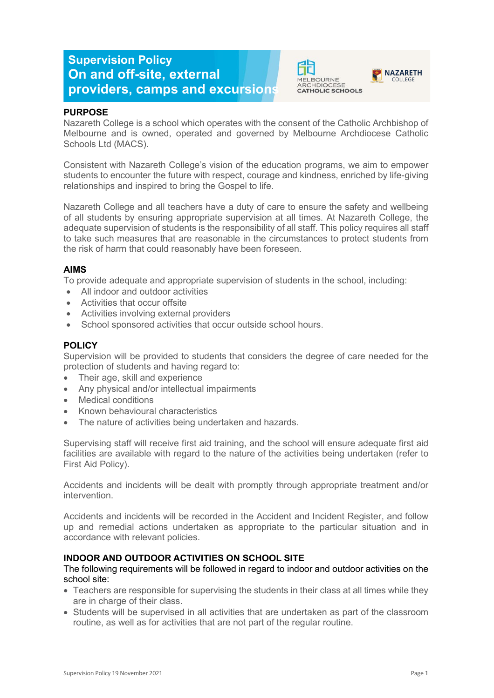# **Supervision Policy On and off-site, external providers, camps and excursions**





## **PURPOSE**

Nazareth College is a school which operates with the consent of the Catholic Archbishop of Melbourne and is owned, operated and governed by Melbourne Archdiocese Catholic Schools Ltd (MACS).

Consistent with Nazareth College's vision of the education programs, we aim to empower students to encounter the future with respect, courage and kindness, enriched by life-giving relationships and inspired to bring the Gospel to life.

Nazareth College and all teachers have a duty of care to ensure the safety and wellbeing of all students by ensuring appropriate supervision at all times. At Nazareth College, the adequate supervision of students is the responsibility of all staff. This policy requires all staff to take such measures that are reasonable in the circumstances to protect students from the risk of harm that could reasonably have been foreseen.

## **AIMS**

To provide adequate and appropriate supervision of students in the school, including:

- All indoor and outdoor activities
- Activities that occur offsite
- Activities involving external providers
- School sponsored activities that occur outside school hours.

## **POLICY**

Supervision will be provided to students that considers the degree of care needed for the protection of students and having regard to:

- Their age, skill and experience
- Any physical and/or intellectual impairments
- Medical conditions
- Known behavioural characteristics
- The nature of activities being undertaken and hazards.

Supervising staff will receive first aid training, and the school will ensure adequate first aid facilities are available with regard to the nature of the activities being undertaken (refer to First Aid Policy).

Accidents and incidents will be dealt with promptly through appropriate treatment and/or intervention.

Accidents and incidents will be recorded in the Accident and Incident Register, and follow up and remedial actions undertaken as appropriate to the particular situation and in accordance with relevant policies.

## **INDOOR AND OUTDOOR ACTIVITIES ON SCHOOL SITE**

## The following requirements will be followed in regard to indoor and outdoor activities on the school site:

- Teachers are responsible for supervising the students in their class at all times while they are in charge of their class.
- Students will be supervised in all activities that are undertaken as part of the classroom routine, as well as for activities that are not part of the regular routine.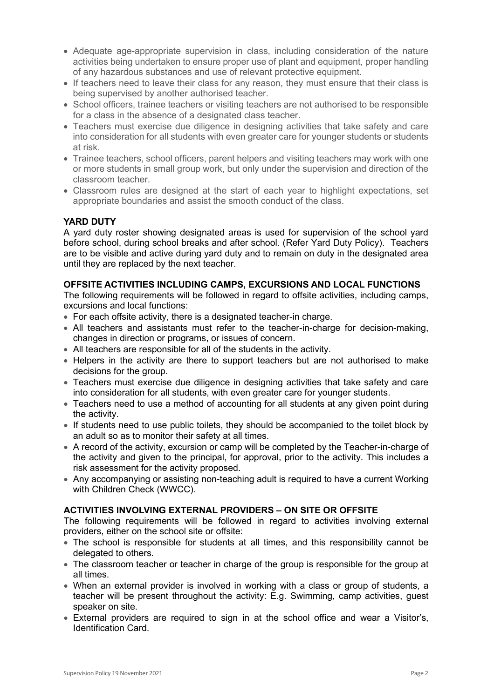- Adequate age-appropriate supervision in class, including consideration of the nature activities being undertaken to ensure proper use of plant and equipment, proper handling of any hazardous substances and use of relevant protective equipment.
- If teachers need to leave their class for any reason, they must ensure that their class is being supervised by another authorised teacher.
- School officers, trainee teachers or visiting teachers are not authorised to be responsible for a class in the absence of a designated class teacher.
- Teachers must exercise due diligence in designing activities that take safety and care into consideration for all students with even greater care for younger students or students at risk.
- Trainee teachers, school officers, parent helpers and visiting teachers may work with one or more students in small group work, but only under the supervision and direction of the classroom teacher.
- Classroom rules are designed at the start of each year to highlight expectations, set appropriate boundaries and assist the smooth conduct of the class.

# **YARD DUTY**

A yard duty roster showing designated areas is used for supervision of the school yard before school, during school breaks and after school. (Refer Yard Duty Policy). Teachers are to be visible and active during yard duty and to remain on duty in the designated area until they are replaced by the next teacher.

## **OFFSITE ACTIVITIES INCLUDING CAMPS, EXCURSIONS AND LOCAL FUNCTIONS**

The following requirements will be followed in regard to offsite activities, including camps, excursions and local functions:

- For each offsite activity, there is a designated teacher-in charge.
- All teachers and assistants must refer to the teacher-in-charge for decision-making, changes in direction or programs, or issues of concern.
- All teachers are responsible for all of the students in the activity.
- Helpers in the activity are there to support teachers but are not authorised to make decisions for the group.
- Teachers must exercise due diligence in designing activities that take safety and care into consideration for all students, with even greater care for younger students.
- Teachers need to use a method of accounting for all students at any given point during the activity.
- If students need to use public toilets, they should be accompanied to the toilet block by an adult so as to monitor their safety at all times.
- A record of the activity, excursion or camp will be completed by the Teacher-in-charge of the activity and given to the principal, for approval, prior to the activity. This includes a risk assessment for the activity proposed.
- Any accompanying or assisting non-teaching adult is required to have a current Working with Children Check (WWCC).

## **ACTIVITIES INVOLVING EXTERNAL PROVIDERS – ON SITE OR OFFSITE**

The following requirements will be followed in regard to activities involving external providers, either on the school site or offsite:

- The school is responsible for students at all times, and this responsibility cannot be delegated to others.
- The classroom teacher or teacher in charge of the group is responsible for the group at all times.
- When an external provider is involved in working with a class or group of students, a teacher will be present throughout the activity: E.g. Swimming, camp activities, guest speaker on site.
- External providers are required to sign in at the school office and wear a Visitor's, Identification Card.